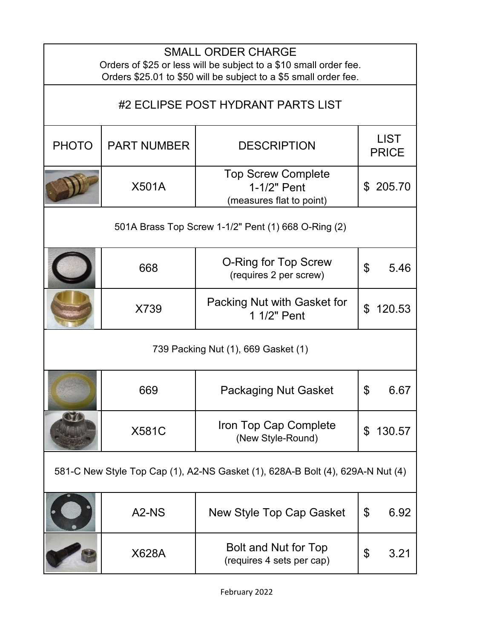| <b>SMALL ORDER CHARGE</b><br>Orders of \$25 or less will be subject to a \$10 small order fee.<br>Orders \$25.01 to \$50 will be subject to a \$5 small order fee. |                                                                                |                                                                      |                |                             |  |
|--------------------------------------------------------------------------------------------------------------------------------------------------------------------|--------------------------------------------------------------------------------|----------------------------------------------------------------------|----------------|-----------------------------|--|
|                                                                                                                                                                    |                                                                                | #2 ECLIPSE POST HYDRANT PARTS LIST                                   |                |                             |  |
| <b>PHOTO</b>                                                                                                                                                       | <b>PART NUMBER</b>                                                             | <b>DESCRIPTION</b>                                                   |                | <b>LIST</b><br><b>PRICE</b> |  |
|                                                                                                                                                                    | <b>X501A</b>                                                                   | <b>Top Screw Complete</b><br>1-1/2" Pent<br>(measures flat to point) |                | \$205.70                    |  |
|                                                                                                                                                                    |                                                                                | 501A Brass Top Screw 1-1/2" Pent (1) 668 O-Ring (2)                  |                |                             |  |
|                                                                                                                                                                    | 668                                                                            | O-Ring for Top Screw<br>(requires 2 per screw)                       | $\mathfrak{L}$ | 5.46                        |  |
|                                                                                                                                                                    | X739                                                                           | Packing Nut with Gasket for<br>1 1/2" Pent                           | \$             | 120.53                      |  |
|                                                                                                                                                                    |                                                                                | 739 Packing Nut (1), 669 Gasket (1)                                  |                |                             |  |
|                                                                                                                                                                    | 669                                                                            | <b>Packaging Nut Gasket</b>                                          | \$             | 6.67                        |  |
|                                                                                                                                                                    | <b>X581C</b>                                                                   | Iron Top Cap Complete<br>(New Style-Round)                           | \$             | 130.57                      |  |
|                                                                                                                                                                    | 581-C New Style Top Cap (1), A2-NS Gasket (1), 628A-B Bolt (4), 629A-N Nut (4) |                                                                      |                |                             |  |
|                                                                                                                                                                    | A <sub>2</sub> -N <sub>S</sub>                                                 | New Style Top Cap Gasket                                             | \$             | 6.92                        |  |
|                                                                                                                                                                    | X628A                                                                          | Bolt and Nut for Top<br>(requires 4 sets per cap)                    | \$             | 3.21                        |  |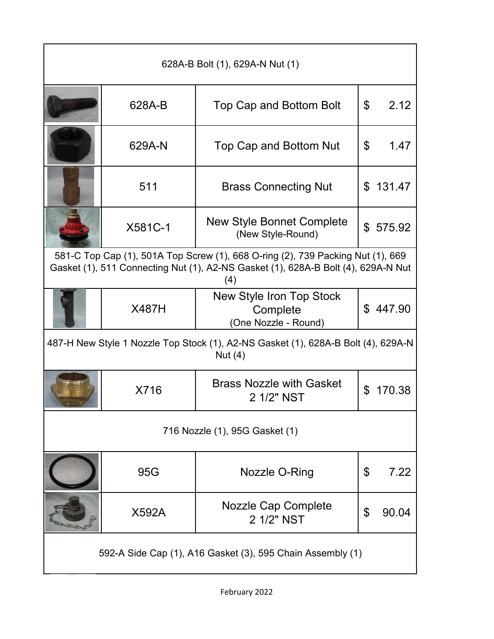| 628A-B Bolt (1), 629A-N Nut (1)                                                                                                                                             |              |                                                                                                |                |          |
|-----------------------------------------------------------------------------------------------------------------------------------------------------------------------------|--------------|------------------------------------------------------------------------------------------------|----------------|----------|
|                                                                                                                                                                             | 628A-B       | Top Cap and Bottom Bolt                                                                        | \$             | 2.12     |
|                                                                                                                                                                             | 629A-N       | Top Cap and Bottom Nut                                                                         | \$             | 1.47     |
|                                                                                                                                                                             | 511          | <b>Brass Connecting Nut</b>                                                                    | \$             | 131.47   |
|                                                                                                                                                                             | X581C-1      | <b>New Style Bonnet Complete</b><br>(New Style-Round)                                          |                | \$575.92 |
| 581-C Top Cap (1), 501A Top Screw (1), 668 O-ring (2), 739 Packing Nut (1), 669<br>Gasket (1), 511 Connecting Nut (1), A2-NS Gasket (1), 628A-B Bolt (4), 629A-N Nut<br>(4) |              |                                                                                                |                |          |
|                                                                                                                                                                             | <b>X487H</b> | New Style Iron Top Stock<br>Complete<br>(One Nozzle - Round)                                   | $\mathfrak{L}$ | 447.90   |
|                                                                                                                                                                             |              | 487-H New Style 1 Nozzle Top Stock (1), A2-NS Gasket (1), 628A-B Bolt (4), 629A-N<br>Nut $(4)$ |                |          |
|                                                                                                                                                                             | X716         | <b>Brass Nozzle with Gasket</b><br>2 1/2" NST                                                  | \$             | 170.38   |
|                                                                                                                                                                             |              | 716 Nozzle (1), 95G Gasket (1)                                                                 |                |          |
|                                                                                                                                                                             | 95G          | Nozzle O-Ring                                                                                  | \$             | 7.22     |
|                                                                                                                                                                             | X592A        | Nozzle Cap Complete<br>2 1/2" NST                                                              | \$             | 90.04    |
| 592-A Side Cap (1), A16 Gasket (3), 595 Chain Assembly (1)                                                                                                                  |              |                                                                                                |                |          |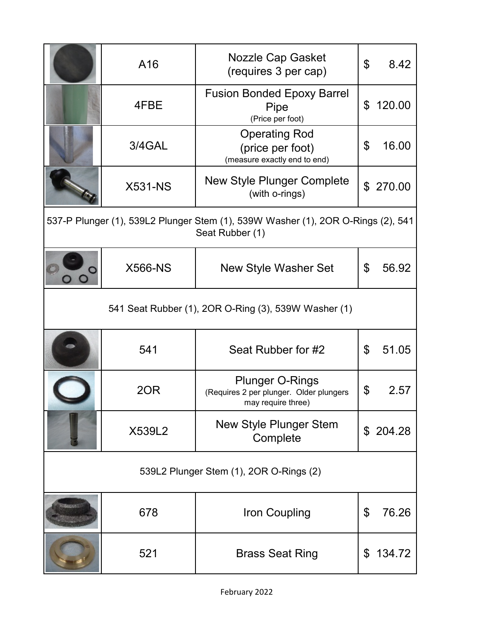|                                                      | A16            | Nozzle Cap Gasket<br>(requires 3 per cap)                                                           | \$ | 8.42      |
|------------------------------------------------------|----------------|-----------------------------------------------------------------------------------------------------|----|-----------|
|                                                      | 4FBE           | <b>Fusion Bonded Epoxy Barrel</b><br>Pipe<br>(Price per foot)                                       | \$ | 120.00    |
|                                                      | 3/4GAL         | <b>Operating Rod</b><br>(price per foot)<br>(measure exactly end to end)                            | \$ | 16.00     |
|                                                      | <b>X531-NS</b> | <b>New Style Plunger Complete</b><br>(with o-rings)                                                 |    | \$ 270.00 |
|                                                      |                | 537-P Plunger (1), 539L2 Plunger Stem (1), 539W Washer (1), 2OR O-Rings (2), 541<br>Seat Rubber (1) |    |           |
|                                                      | <b>X566-NS</b> | <b>New Style Washer Set</b>                                                                         | \$ | 56.92     |
| 541 Seat Rubber (1), 2OR O-Ring (3), 539W Washer (1) |                |                                                                                                     |    |           |
|                                                      | 541            | Seat Rubber for #2                                                                                  | \$ | 51.05     |
|                                                      | 20R            | <b>Plunger O-Rings</b><br>(Requires 2 per plunger. Older plungers<br>may require three)             | \$ | 2.57      |
|                                                      | X539L2         | <b>New Style Plunger Stem</b><br>Complete                                                           |    | \$204.28  |
| 539L2 Plunger Stem (1), 2OR O-Rings (2)              |                |                                                                                                     |    |           |
|                                                      | 678            | Iron Coupling                                                                                       | \$ | 76.26     |
|                                                      | 521            | <b>Brass Seat Ring</b>                                                                              | \$ | 134.72    |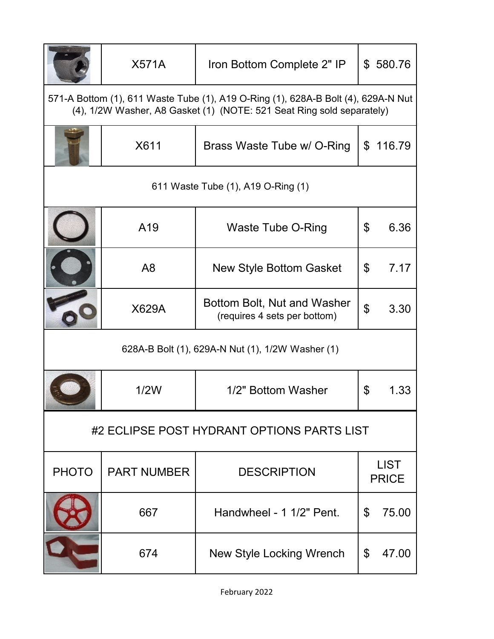|                                                                                                                                                            | <b>X571A</b>       | Iron Bottom Complete 2" IP                                  |                | \$580.76                    |
|------------------------------------------------------------------------------------------------------------------------------------------------------------|--------------------|-------------------------------------------------------------|----------------|-----------------------------|
| 571-A Bottom (1), 611 Waste Tube (1), A19 O-Ring (1), 628A-B Bolt (4), 629A-N Nut<br>(4), 1/2W Washer, A8 Gasket (1) (NOTE: 521 Seat Ring sold separately) |                    |                                                             |                |                             |
|                                                                                                                                                            | X611               | Brass Waste Tube w/ O-Ring                                  | $\mathfrak{L}$ | 116.79                      |
|                                                                                                                                                            |                    | 611 Waste Tube (1), A19 O-Ring (1)                          |                |                             |
|                                                                                                                                                            | A <sub>19</sub>    | <b>Waste Tube O-Ring</b>                                    | \$             | 6.36                        |
|                                                                                                                                                            | A8                 | <b>New Style Bottom Gasket</b>                              | \$             | 7.17                        |
|                                                                                                                                                            | <b>X629A</b>       | Bottom Bolt, Nut and Washer<br>(requires 4 sets per bottom) | \$             | 3.30                        |
|                                                                                                                                                            |                    | 628A-B Bolt (1), 629A-N Nut (1), 1/2W Washer (1)            |                |                             |
|                                                                                                                                                            | 1/2W               | 1/2" Bottom Washer                                          | \$             | 1.33                        |
|                                                                                                                                                            |                    | #2 ECLIPSE POST HYDRANT OPTIONS PARTS LIST                  |                |                             |
| <b>PHOTO</b>                                                                                                                                               | <b>PART NUMBER</b> | <b>DESCRIPTION</b>                                          |                | <b>LIST</b><br><b>PRICE</b> |
|                                                                                                                                                            | 667                | Handwheel - 1 1/2" Pent.                                    | \$             | 75.00                       |
|                                                                                                                                                            | 674                | <b>New Style Locking Wrench</b>                             | \$             | 47.00                       |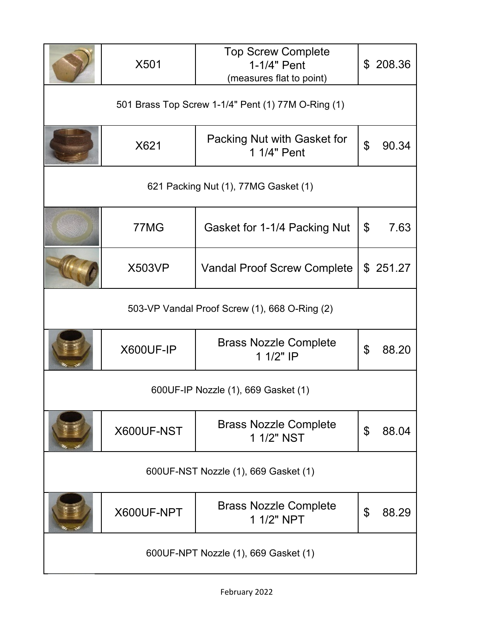|                                               | X501                                               | <b>Top Screw Complete</b><br>1-1/4" Pent<br>(measures flat to point) |                           | \$208.36 |
|-----------------------------------------------|----------------------------------------------------|----------------------------------------------------------------------|---------------------------|----------|
|                                               | 501 Brass Top Screw 1-1/4" Pent (1) 77M O-Ring (1) |                                                                      |                           |          |
|                                               | X621                                               | Packing Nut with Gasket for<br>1 1/4" Pent                           | $\mathfrak{L}$            | 90.34    |
|                                               |                                                    | 621 Packing Nut (1), 77MG Gasket (1)                                 |                           |          |
|                                               | 77MG                                               | Gasket for 1-1/4 Packing Nut                                         | $\boldsymbol{\mathsf{S}}$ | 7.63     |
|                                               | <b>X503VP</b>                                      | <b>Vandal Proof Screw Complete</b>                                   |                           | \$251.27 |
| 503-VP Vandal Proof Screw (1), 668 O-Ring (2) |                                                    |                                                                      |                           |          |
|                                               | X600UF-IP                                          | <b>Brass Nozzle Complete</b><br>1 1/2" IP                            | \$                        | 88.20    |
|                                               |                                                    | 600UF-IP Nozzle (1), 669 Gasket (1)                                  |                           |          |
|                                               | X600UF-NST                                         | <b>Brass Nozzle Complete</b><br>1 1/2" NST                           | \$                        | 88.04    |
| 600UF-NST Nozzle (1), 669 Gasket (1)          |                                                    |                                                                      |                           |          |
|                                               | X600UF-NPT                                         | <b>Brass Nozzle Complete</b><br>1 1/2" NPT                           | \$                        | 88.29    |
| 600UF-NPT Nozzle (1), 669 Gasket (1)          |                                                    |                                                                      |                           |          |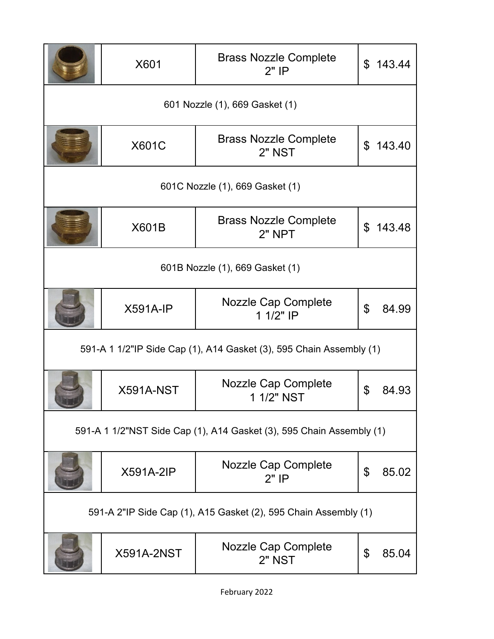|                                                                     | X601                            | <b>Brass Nozzle Complete</b><br>$2"$ IP                              | $\mathfrak{L}$ | 143.44 |  |
|---------------------------------------------------------------------|---------------------------------|----------------------------------------------------------------------|----------------|--------|--|
|                                                                     | 601 Nozzle (1), 669 Gasket (1)  |                                                                      |                |        |  |
|                                                                     | <b>X601C</b>                    | <b>Brass Nozzle Complete</b><br>2" NST                               | \$             | 143.40 |  |
|                                                                     |                                 | 601C Nozzle (1), 669 Gasket (1)                                      |                |        |  |
|                                                                     | X601B                           | <b>Brass Nozzle Complete</b><br>$2"$ NPT                             | $\mathfrak{L}$ | 143.48 |  |
|                                                                     | 601B Nozzle (1), 669 Gasket (1) |                                                                      |                |        |  |
|                                                                     | $X591A-IP$                      | <b>Nozzle Cap Complete</b><br>1 1/2" IP                              | \$             | 84.99  |  |
| 591-A 1 1/2"IP Side Cap (1), A14 Gasket (3), 595 Chain Assembly (1) |                                 |                                                                      |                |        |  |
|                                                                     | X591A-NST                       | <b>Nozzle Cap Complete</b><br>1 1/2" NST                             | \$             | 84.93  |  |
|                                                                     |                                 | 591-A 1 1/2"NST Side Cap (1), A14 Gasket (3), 595 Chain Assembly (1) |                |        |  |
|                                                                     | <b>X591A-2IP</b>                | <b>Nozzle Cap Complete</b><br>$2"$ IP                                | \$             | 85.02  |  |
|                                                                     |                                 | 591-A 2"IP Side Cap (1), A15 Gasket (2), 595 Chain Assembly (1)      |                |        |  |
|                                                                     | <b>X591A-2NST</b>               | Nozzle Cap Complete<br><b>2" NST</b>                                 | \$             | 85.04  |  |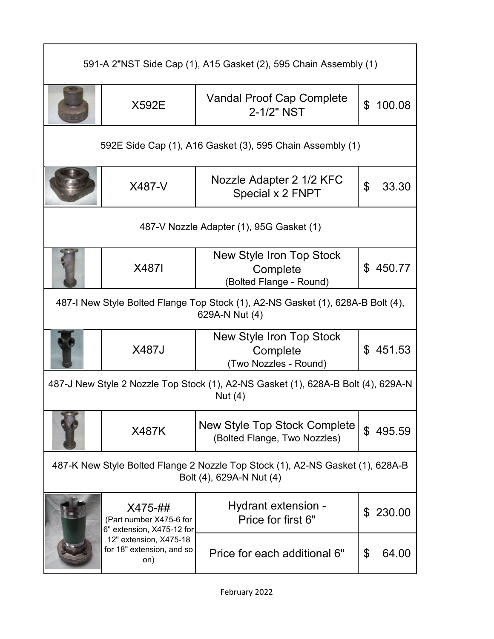| 591-A 2"NST Side Cap (1), A15 Gasket (2), 595 Chain Assembly (1)                                  |                                                                 |                                                                                                            |                          |  |  |
|---------------------------------------------------------------------------------------------------|-----------------------------------------------------------------|------------------------------------------------------------------------------------------------------------|--------------------------|--|--|
|                                                                                                   | <b>X592E</b>                                                    | Vandal Proof Cap Complete<br>2-1/2" NST                                                                    | $\mathfrak{L}$<br>100.08 |  |  |
|                                                                                                   | 592E Side Cap (1), A16 Gasket (3), 595 Chain Assembly (1)       |                                                                                                            |                          |  |  |
|                                                                                                   | X487-V                                                          | Nozzle Adapter 2 1/2 KFC<br>Special x 2 FNPT                                                               | \$<br>33.30              |  |  |
| 487-V Nozzle Adapter (1), 95G Gasket (1)                                                          |                                                                 |                                                                                                            |                          |  |  |
|                                                                                                   | X4871                                                           | New Style Iron Top Stock<br>Complete<br>(Bolted Flange - Round)                                            | 450.77<br>\$             |  |  |
| 487-I New Style Bolted Flange Top Stock (1), A2-NS Gasket (1), 628A-B Bolt (4),<br>629A-N Nut (4) |                                                                 |                                                                                                            |                          |  |  |
|                                                                                                   | X487J                                                           | New Style Iron Top Stock<br>Complete<br>(Two Nozzles - Round)                                              | \$451.53                 |  |  |
|                                                                                                   |                                                                 | 487-J New Style 2 Nozzle Top Stock (1), A2-NS Gasket (1), 628A-B Bolt (4), 629A-N<br>Nut $(4)$             |                          |  |  |
|                                                                                                   | <b>X487K</b>                                                    | New Style Top Stock Complete<br>(Bolted Flange, Two Nozzles)                                               | $\mathfrak{L}$<br>495.59 |  |  |
|                                                                                                   |                                                                 | 487-K New Style Bolted Flange 2 Nozzle Top Stock (1), A2-NS Gasket (1), 628A-B<br>Bolt (4), 629A-N Nut (4) |                          |  |  |
|                                                                                                   | X475-##<br>(Part number X475-6 for<br>6" extension, X475-12 for | Hydrant extension -<br>Price for first 6"                                                                  | 230.00<br>\$             |  |  |
|                                                                                                   | 12" extension, X475-18<br>for 18" extension, and so<br>on)      | Price for each additional 6"                                                                               | \$<br>64.00              |  |  |

 $\mathsf{r}$ 

٦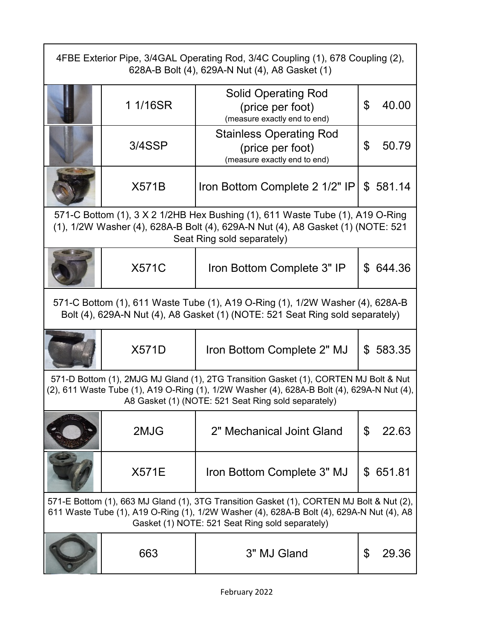| 4FBE Exterior Pipe, 3/4GAL Operating Rod, 3/4C Coupling (1), 678 Coupling (2),<br>628A-B Bolt (4), 629A-N Nut (4), A8 Gasket (1)                               |              |                                                                                                                                                                                                                                           |             |  |
|----------------------------------------------------------------------------------------------------------------------------------------------------------------|--------------|-------------------------------------------------------------------------------------------------------------------------------------------------------------------------------------------------------------------------------------------|-------------|--|
|                                                                                                                                                                | 1 1/16SR     | <b>Solid Operating Rod</b><br>(price per foot)<br>(measure exactly end to end)                                                                                                                                                            | \$<br>40.00 |  |
|                                                                                                                                                                | 3/4SSP       | <b>Stainless Operating Rod</b><br>(price per foot)<br>(measure exactly end to end)                                                                                                                                                        | \$<br>50.79 |  |
|                                                                                                                                                                | <b>X571B</b> | Iron Bottom Complete 2 1/2" IP                                                                                                                                                                                                            | \$581.14    |  |
|                                                                                                                                                                |              | 571-C Bottom (1), 3 X 2 1/2HB Hex Bushing (1), 611 Waste Tube (1), A19 O-Ring<br>(1), 1/2W Washer (4), 628A-B Bolt (4), 629A-N Nut (4), A8 Gasket (1) (NOTE: 521<br>Seat Ring sold separately)                                            |             |  |
|                                                                                                                                                                | <b>X571C</b> | Iron Bottom Complete 3" IP                                                                                                                                                                                                                | \$644.36    |  |
| 571-C Bottom (1), 611 Waste Tube (1), A19 O-Ring (1), 1/2W Washer (4), 628A-B<br>Bolt (4), 629A-N Nut (4), A8 Gasket (1) (NOTE: 521 Seat Ring sold separately) |              |                                                                                                                                                                                                                                           |             |  |
|                                                                                                                                                                | <b>X571D</b> | Iron Bottom Complete 2" MJ                                                                                                                                                                                                                | \$583.35    |  |
|                                                                                                                                                                |              | 571-D Bottom (1), 2MJG MJ Gland (1), 2TG Transition Gasket (1), CORTEN MJ Bolt & Nut<br>(2), 611 Waste Tube (1), A19 O-Ring (1), 1/2W Washer (4), 628A-B Bolt (4), 629A-N Nut (4),<br>A8 Gasket (1) (NOTE: 521 Seat Ring sold separately) |             |  |
|                                                                                                                                                                | 2MJG         | 2" Mechanical Joint Gland                                                                                                                                                                                                                 | \$<br>22.63 |  |
|                                                                                                                                                                | <b>X571E</b> | Iron Bottom Complete 3" MJ                                                                                                                                                                                                                | \$651.81    |  |
|                                                                                                                                                                |              | 571-E Bottom (1), 663 MJ Gland (1), 3TG Transition Gasket (1), CORTEN MJ Bolt & Nut (2),<br>611 Waste Tube (1), A19 O-Ring (1), 1/2W Washer (4), 628A-B Bolt (4), 629A-N Nut (4), A8<br>Gasket (1) NOTE: 521 Seat Ring sold separately)   |             |  |
|                                                                                                                                                                | 663          | 3" MJ Gland                                                                                                                                                                                                                               | \$<br>29.36 |  |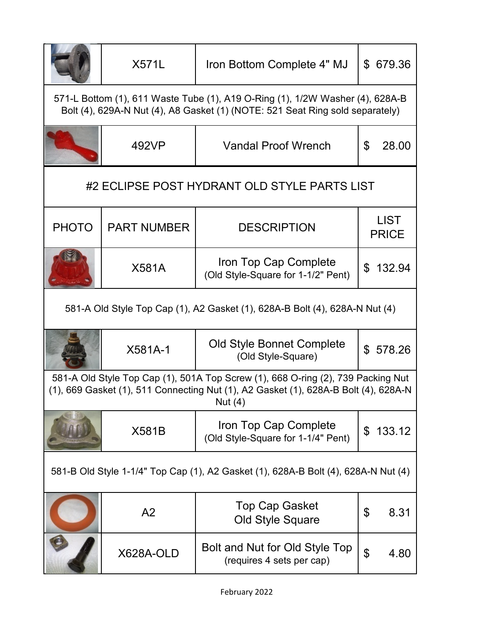|                                                                                                                                                                | <b>X571L</b>       | Iron Bottom Complete 4" MJ                                                                                                                                                         | \$ 679.36                          |  |
|----------------------------------------------------------------------------------------------------------------------------------------------------------------|--------------------|------------------------------------------------------------------------------------------------------------------------------------------------------------------------------------|------------------------------------|--|
| 571-L Bottom (1), 611 Waste Tube (1), A19 O-Ring (1), 1/2W Washer (4), 628A-B<br>Bolt (4), 629A-N Nut (4), A8 Gasket (1) (NOTE: 521 Seat Ring sold separately) |                    |                                                                                                                                                                                    |                                    |  |
|                                                                                                                                                                | 492VP              | <b>Vandal Proof Wrench</b>                                                                                                                                                         | \$<br>28.00                        |  |
|                                                                                                                                                                |                    | #2 ECLIPSE POST HYDRANT OLD STYLE PARTS LIST                                                                                                                                       |                                    |  |
| <b>PHOTO</b>                                                                                                                                                   | <b>PART NUMBER</b> | <b>DESCRIPTION</b>                                                                                                                                                                 | <b>LIST</b><br><b>PRICE</b>        |  |
|                                                                                                                                                                | <b>X581A</b>       | Iron Top Cap Complete<br>(Old Style-Square for 1-1/2" Pent)                                                                                                                        | 132.94<br>$\mathfrak{L}$           |  |
| 581-A Old Style Top Cap (1), A2 Gasket (1), 628A-B Bolt (4), 628A-N Nut (4)                                                                                    |                    |                                                                                                                                                                                    |                                    |  |
|                                                                                                                                                                | X581A-1            | Old Style Bonnet Complete<br>(Old Style-Square)                                                                                                                                    | \$578.26                           |  |
|                                                                                                                                                                |                    | 581-A Old Style Top Cap (1), 501A Top Screw (1), 668 O-ring (2), 739 Packing Nut<br>(1), 669 Gasket (1), 511 Connecting Nut (1), A2 Gasket (1), 628A-B Bolt (4), 628A-N<br>Nut (4) |                                    |  |
|                                                                                                                                                                | <b>X581B</b>       | Iron Top Cap Complete<br>(Old Style-Square for 1-1/4" Pent)                                                                                                                        | 133.12<br>\$                       |  |
| 581-B Old Style 1-1/4" Top Cap (1), A2 Gasket (1), 628A-B Bolt (4), 628A-N Nut (4)                                                                             |                    |                                                                                                                                                                                    |                                    |  |
|                                                                                                                                                                | A2                 | <b>Top Cap Gasket</b><br><b>Old Style Square</b>                                                                                                                                   | \$<br>8.31                         |  |
|                                                                                                                                                                | X628A-OLD          | Bolt and Nut for Old Style Top<br>(requires 4 sets per cap)                                                                                                                        | $\boldsymbol{\mathcal{S}}$<br>4.80 |  |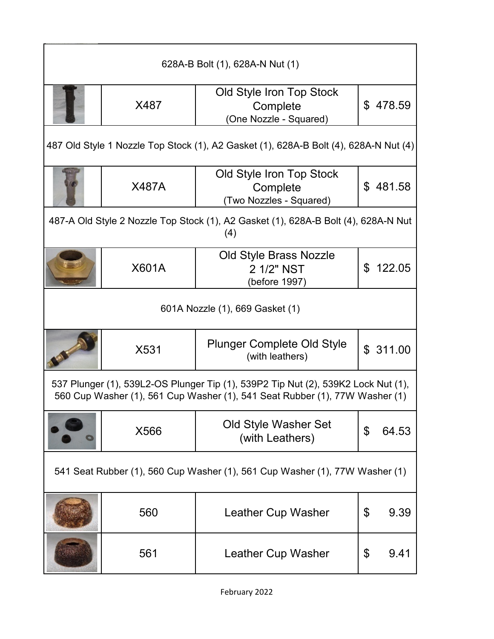| 628A-B Bolt (1), 628A-N Nut (1)                                             |              |                                                                                                                                                                  |    |          |
|-----------------------------------------------------------------------------|--------------|------------------------------------------------------------------------------------------------------------------------------------------------------------------|----|----------|
|                                                                             | X487         | Old Style Iron Top Stock<br>Complete<br>(One Nozzle - Squared)                                                                                                   |    | \$478.59 |
|                                                                             |              | 487 Old Style 1 Nozzle Top Stock (1), A2 Gasket (1), 628A-B Bolt (4), 628A-N Nut (4)                                                                             |    |          |
|                                                                             | <b>X487A</b> | Old Style Iron Top Stock<br>Complete<br>(Two Nozzles - Squared)                                                                                                  | \$ | 481.58   |
|                                                                             |              | 487-A Old Style 2 Nozzle Top Stock (1), A2 Gasket (1), 628A-B Bolt (4), 628A-N Nut<br>(4)                                                                        |    |          |
|                                                                             | <b>X601A</b> | <b>Old Style Brass Nozzle</b><br>2 1/2" NST<br>(before 1997)                                                                                                     | \$ | 122.05   |
| 601A Nozzle (1), 669 Gasket (1)                                             |              |                                                                                                                                                                  |    |          |
|                                                                             | X531         | <b>Plunger Complete Old Style</b><br>(with leathers)                                                                                                             |    | \$311.00 |
|                                                                             |              | 537 Plunger (1), 539L2-OS Plunger Tip (1), 539P2 Tip Nut (2), 539K2 Lock Nut (1),<br>560 Cup Washer (1), 561 Cup Washer (1), 541 Seat Rubber (1), 77W Washer (1) |    |          |
|                                                                             | X566         | Old Style Washer Set<br>(with Leathers)                                                                                                                          | \$ | 64.53    |
| 541 Seat Rubber (1), 560 Cup Washer (1), 561 Cup Washer (1), 77W Washer (1) |              |                                                                                                                                                                  |    |          |
|                                                                             | 560          | Leather Cup Washer                                                                                                                                               | \$ | 9.39     |
|                                                                             | 561          | Leather Cup Washer                                                                                                                                               | \$ | 9.41     |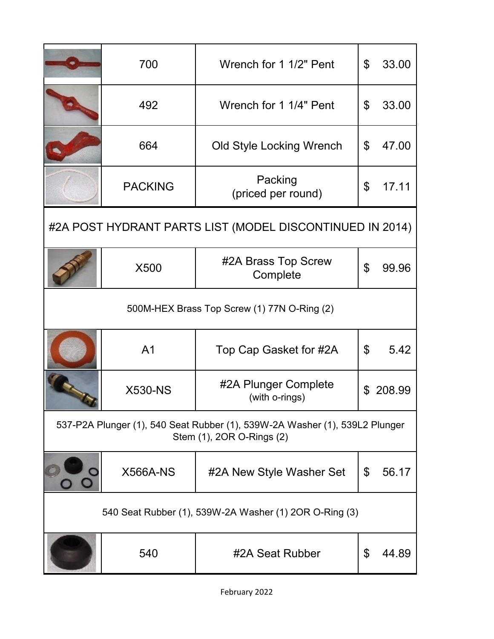|                                                                                                          | 700             | Wrench for 1 1/2" Pent                                   | \$ | 33.00  |
|----------------------------------------------------------------------------------------------------------|-----------------|----------------------------------------------------------|----|--------|
|                                                                                                          | 492             | Wrench for 1 1/4" Pent                                   | \$ | 33.00  |
|                                                                                                          | 664             | Old Style Locking Wrench                                 | \$ | 47.00  |
|                                                                                                          | <b>PACKING</b>  | Packing<br>(priced per round)                            | \$ | 17.11  |
|                                                                                                          |                 | #2A POST HYDRANT PARTS LIST (MODEL DISCONTINUED IN 2014) |    |        |
|                                                                                                          | X500            | #2A Brass Top Screw<br>Complete                          | \$ | 99.96  |
| 500M-HEX Brass Top Screw (1) 77N O-Ring (2)                                                              |                 |                                                          |    |        |
|                                                                                                          | A <sub>1</sub>  | Top Cap Gasket for #2A                                   | \$ | 5.42   |
|                                                                                                          | <b>X530-NS</b>  | #2A Plunger Complete<br>(with o-rings)                   | \$ | 208.99 |
| 537-P2A Plunger (1), 540 Seat Rubber (1), 539W-2A Washer (1), 539L2 Plunger<br>Stem (1), 2OR O-Rings (2) |                 |                                                          |    |        |
|                                                                                                          | <b>X566A-NS</b> | #2A New Style Washer Set                                 | \$ | 56.17  |
|                                                                                                          |                 | 540 Seat Rubber (1), 539W-2A Washer (1) 2OR O-Ring (3)   |    |        |
|                                                                                                          | 540             | #2A Seat Rubber                                          | \$ | 44.89  |